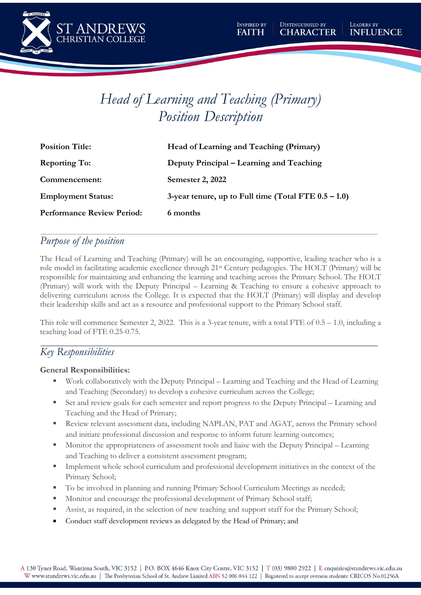

# *Head of Learning and Teaching (Primary) Position Description*

| <b>Position Title:</b>            | Head of Learning and Teaching (Primary)                 |
|-----------------------------------|---------------------------------------------------------|
| <b>Reporting To:</b>              | Deputy Principal – Learning and Teaching                |
| Commencement:                     | Semester 2, 2022                                        |
| <b>Employment Status:</b>         | 3-year tenure, up to Full time (Total FTE $0.5 - 1.0$ ) |
| <b>Performance Review Period:</b> | 6 months                                                |

## *Purpose of the position*

The Head of Learning and Teaching (Primary) will be an encouraging, supportive, leading teacher who is a role model in facilitating academic excellence through 21st Century pedagogies. The HOLT (Primary) will be responsible for maintaining and enhancing the learning and teaching across the Primary School. The HOLT (Primary) will work with the Deputy Principal – Learning & Teaching to ensure a cohesive approach to delivering curriculum across the College. It is expected that the HOLT (Primary) will display and develop their leadership skills and act as a resource and professional support to the Primary School staff.

This role will commence Semester 2, 2022. This is a 3-year tenure, with a total FTE of 0.5 – 1.0, including a teaching load of FTE 0.25-0.75.

## *Key Responsibilities*

#### **General Responsibilities:**

- Work collaboratively with the Deputy Principal Learning and Teaching and the Head of Learning and Teaching (Secondary) to develop a cohesive curriculum across the College;
- Set and review goals for each semester and report progress to the Deputy Principal Learning and Teaching and the Head of Primary;
- **EXECUTE:** Review relevant assessment data, including NAPLAN, PAT and AGAT, across the Primary school and initiate professional discussion and response to inform future learning outcomes;
- Monitor the appropriateness of assessment tools and liaise with the Deputy Principal Learning and Teaching to deliver a consistent assessment program;
- Implement whole school curriculum and professional development initiatives in the context of the Primary School;
- To be involved in planning and running Primary School Curriculum Meetings as needed;
- Monitor and encourage the professional development of Primary School staff;
- Assist, as required, in the selection of new teaching and support staff for the Primary School;
- Conduct staff development reviews as delegated by the Head of Primary; and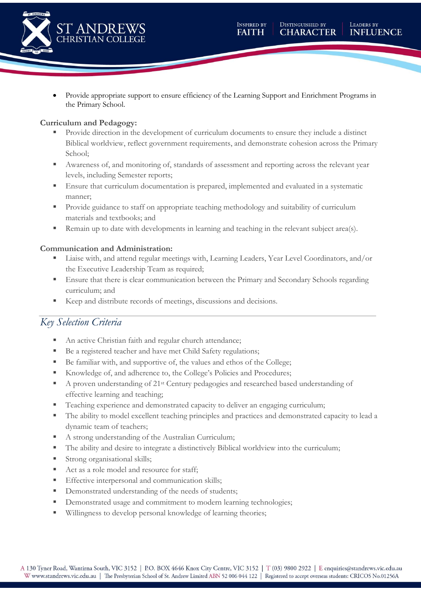

• Provide appropriate support to ensure efficiency of the Learning Support and Enrichment Programs in the Primary School.

#### **Curriculum and Pedagogy:**

- Provide direction in the development of curriculum documents to ensure they include a distinct Biblical worldview, reflect government requirements, and demonstrate cohesion across the Primary School;
- Awareness of, and monitoring of, standards of assessment and reporting across the relevant year levels, including Semester reports;
- Ensure that curriculum documentation is prepared, implemented and evaluated in a systematic manner;
- **•** Provide guidance to staff on appropriate teaching methodology and suitability of curriculum materials and textbooks; and
- Remain up to date with developments in learning and teaching in the relevant subject area(s).

#### **Communication and Administration:**

- Liaise with, and attend regular meetings with, Learning Leaders, Year Level Coordinators, and/or the Executive Leadership Team as required;
- Ensure that there is clear communication between the Primary and Secondary Schools regarding curriculum; and
- Keep and distribute records of meetings, discussions and decisions.

## *Key Selection Criteria*

- An active Christian faith and regular church attendance;
- Be a registered teacher and have met Child Safety regulations;
- Be familiar with, and supportive of, the values and ethos of the College;
- Knowledge of, and adherence to, the College's Policies and Procedures;
- A proven understanding of 21<sup>st</sup> Century pedagogies and researched based understanding of effective learning and teaching;
- Teaching experience and demonstrated capacity to deliver an engaging curriculum;
- The ability to model excellent teaching principles and practices and demonstrated capacity to lead a dynamic team of teachers;
- A strong understanding of the Australian Curriculum;
- The ability and desire to integrate a distinctively Biblical worldview into the curriculum;
- **EXECUTE:** Strong organisational skills;
- Act as a role model and resource for staff;
- **Effective interpersonal and communication skills;**
- **•** Demonstrated understanding of the needs of students;
- **•** Demonstrated usage and commitment to modern learning technologies;
- Willingness to develop personal knowledge of learning theories;